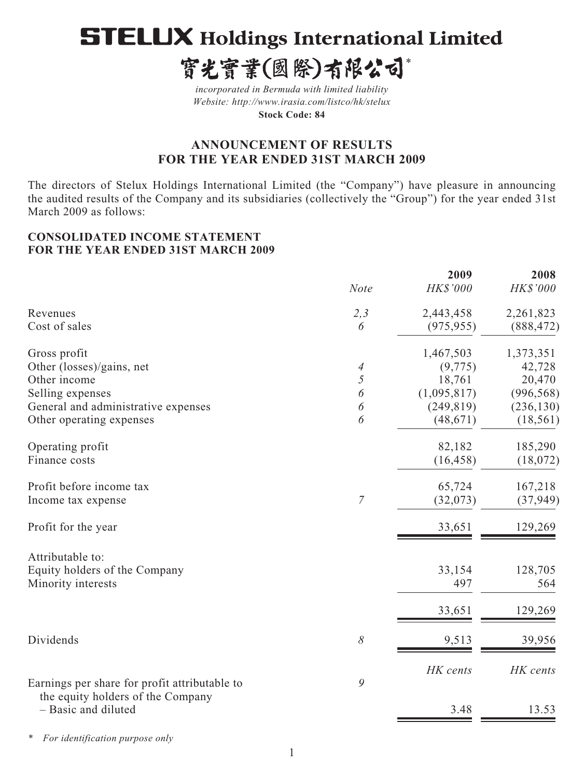# **STELUX Holdings International Limited**

寳光寳業(國際)有限公司\*

*incorporated in Bermuda with limited liability Website: http://www.irasia.com/listco/hk/stelux*  **Stock Code: 84**

# **ANNOUNCEMENT OF RESULTS FOR THE YEAR ENDED 31ST MARCH 2009**

The directors of Stelux Holdings International Limited (the "Company") have pleasure in announcing the audited results of the Company and its subsidiaries (collectively the "Group") for the year ended 31st March 2009 as follows:

### **CONSOLIDATED INCOME STATEMENT FOR THE YEAR ENDED 31ST MARCH 2009**

|                                                          |                | 2009        | 2008       |
|----------------------------------------------------------|----------------|-------------|------------|
|                                                          | <b>Note</b>    | HK\$'000    | HK\$'000   |
| Revenues                                                 | 2,3            | 2,443,458   | 2,261,823  |
| Cost of sales                                            | 6              | (975, 955)  | (888, 472) |
| Gross profit                                             |                | 1,467,503   | 1,373,351  |
| Other (losses)/gains, net                                | 4              | (9, 775)    | 42,728     |
| Other income                                             | 5              | 18,761      | 20,470     |
| Selling expenses                                         | 6              | (1,095,817) | (996, 568) |
| General and administrative expenses                      | 6              | (249, 819)  | (236, 130) |
| Other operating expenses                                 | 6              | (48, 671)   | (18, 561)  |
| Operating profit                                         |                | 82,182      | 185,290    |
| Finance costs                                            |                | (16, 458)   | (18,072)   |
| Profit before income tax                                 |                | 65,724      | 167,218    |
| Income tax expense                                       | $\overline{7}$ | (32,073)    | (37, 949)  |
| Profit for the year                                      |                | 33,651      | 129,269    |
| Attributable to:                                         |                |             |            |
| Equity holders of the Company                            |                | 33,154      | 128,705    |
| Minority interests                                       |                | 497         | 564        |
|                                                          |                | 33,651      | 129,269    |
| Dividends                                                | $\delta$       | 9,513       | 39,956     |
|                                                          |                | HK cents    | HK cents   |
| Earnings per share for profit attributable to            | 9              |             |            |
| the equity holders of the Company<br>- Basic and diluted |                | 3.48        | 13.53      |
|                                                          |                |             |            |

*\* For identification purpose only*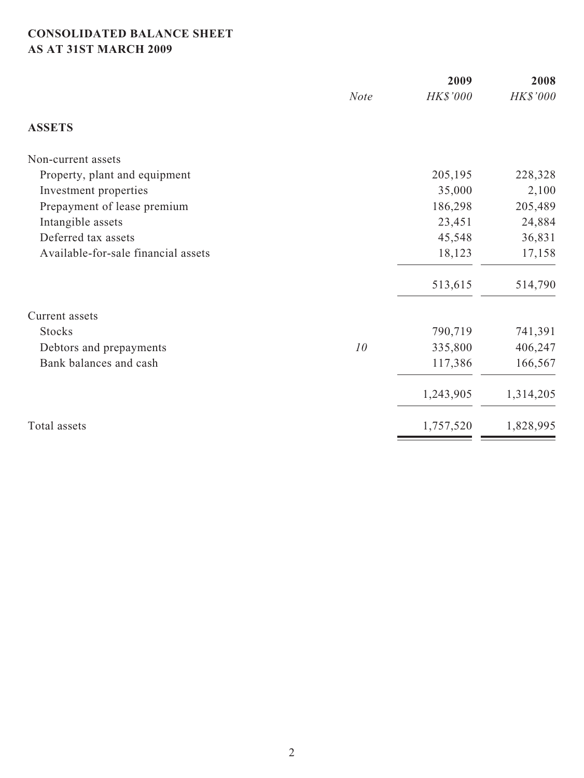# **CONSOLIDATED BALANCE SHEET AS AT 31ST MARCH 2009**

|                                     |             | 2009      | 2008      |
|-------------------------------------|-------------|-----------|-----------|
|                                     | <b>Note</b> | HK\$'000  | HK\$'000  |
| <b>ASSETS</b>                       |             |           |           |
| Non-current assets                  |             |           |           |
| Property, plant and equipment       |             | 205,195   | 228,328   |
| Investment properties               |             | 35,000    | 2,100     |
| Prepayment of lease premium         |             | 186,298   | 205,489   |
| Intangible assets                   |             | 23,451    | 24,884    |
| Deferred tax assets                 |             | 45,548    | 36,831    |
| Available-for-sale financial assets |             | 18,123    | 17,158    |
|                                     |             | 513,615   | 514,790   |
| Current assets                      |             |           |           |
| <b>Stocks</b>                       |             | 790,719   | 741,391   |
| Debtors and prepayments             | 10          | 335,800   | 406,247   |
| Bank balances and cash              |             | 117,386   | 166,567   |
|                                     |             | 1,243,905 | 1,314,205 |
| Total assets                        |             | 1,757,520 | 1,828,995 |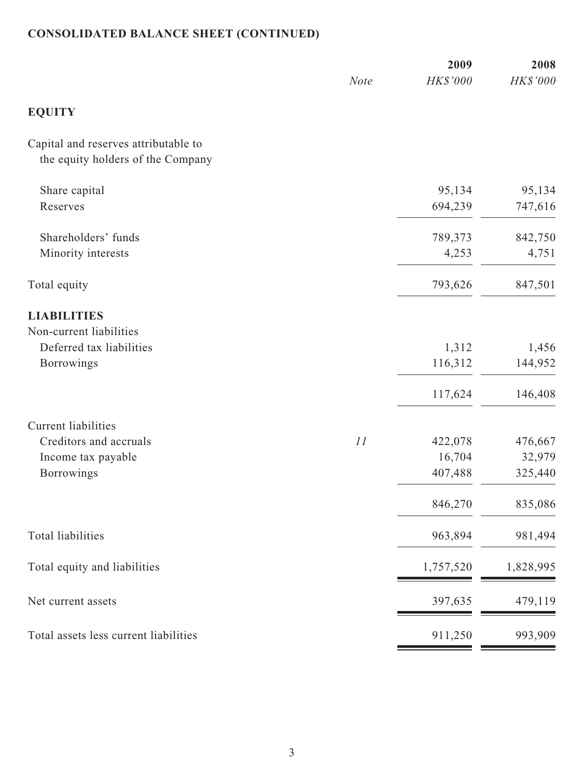# **CONSOLIDATED BALANCE SHEET (CONTINUED)**

|                                                                                                 | <b>Note</b> | 2009<br>HK\$'000                        | 2008<br>HK\$'000                        |
|-------------------------------------------------------------------------------------------------|-------------|-----------------------------------------|-----------------------------------------|
| <b>EQUITY</b>                                                                                   |             |                                         |                                         |
| Capital and reserves attributable to<br>the equity holders of the Company                       |             |                                         |                                         |
| Share capital<br>Reserves                                                                       |             | 95,134<br>694,239                       | 95,134<br>747,616                       |
| Shareholders' funds<br>Minority interests                                                       |             | 789,373<br>4,253                        | 842,750<br>4,751                        |
| Total equity                                                                                    |             | 793,626                                 | 847,501                                 |
| <b>LIABILITIES</b><br>Non-current liabilities<br>Deferred tax liabilities<br><b>Borrowings</b>  |             | 1,312<br>116,312                        | 1,456<br>144,952                        |
|                                                                                                 |             | 117,624                                 | 146,408                                 |
| <b>Current liabilities</b><br>Creditors and accruals<br>Income tax payable<br><b>Borrowings</b> | 11          | 422,078<br>16,704<br>407,488<br>846,270 | 476,667<br>32,979<br>325,440<br>835,086 |
| Total liabilities                                                                               |             | 963,894                                 | 981,494                                 |
| Total equity and liabilities                                                                    |             | 1,757,520                               | 1,828,995                               |
| Net current assets                                                                              |             | 397,635                                 | 479,119                                 |
| Total assets less current liabilities                                                           |             | 911,250                                 | 993,909                                 |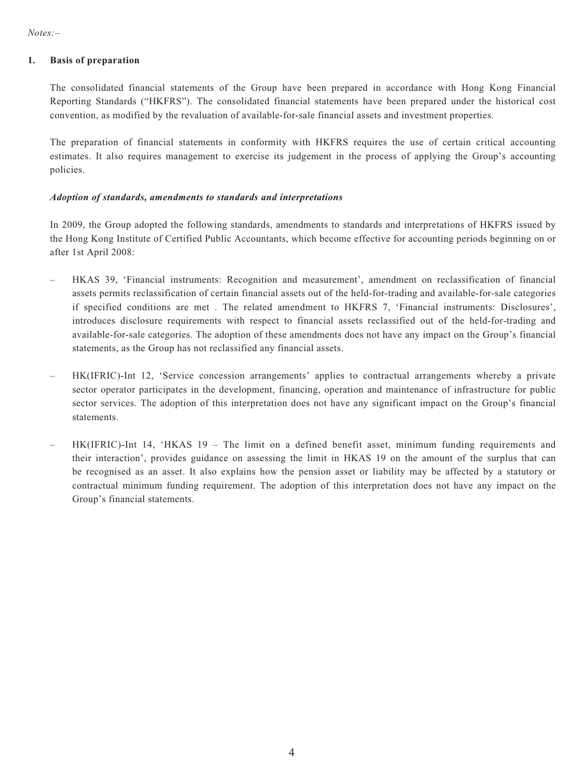#### **1. Basis of preparation**

The consolidated financial statements of the Group have been prepared in accordance with Hong Kong Financial Reporting Standards ("HKFRS"). The consolidated financial statements have been prepared under the historical cost convention, as modified by the revaluation of available-for-sale financial assets and investment properties.

The preparation of financial statements in conformity with HKFRS requires the use of certain critical accounting estimates. It also requires management to exercise its judgement in the process of applying the Group's accounting policies.

#### *Adoption of standards, amendments to standards and interpretations*

In 2009, the Group adopted the following standards, amendments to standards and interpretations of HKFRS issued by the Hong Kong Institute of Certified Public Accountants, which become effective for accounting periods beginning on or after 1st April 2008:

- HKAS 39, 'Financial instruments: Recognition and measurement', amendment on reclassification of financial assets permits reclassification of certain financial assets out of the held-for-trading and available-for-sale categories if specified conditions are met . The related amendment to HKFRS 7, 'Financial instruments: Disclosures', introduces disclosure requirements with respect to financial assets reclassified out of the held-for-trading and available-for-sale categories. The adoption of these amendments does not have any impact on the Group's financial statements, as the Group has not reclassified any financial assets.
- HK(IFRIC)-Int 12, 'Service concession arrangements' applies to contractual arrangements whereby a private sector operator participates in the development, financing, operation and maintenance of infrastructure for public sector services. The adoption of this interpretation does not have any significant impact on the Group's financial statements.
- HK(IFRIC)-Int 14, 'HKAS 19 The limit on a defined benefit asset, minimum funding requirements and their interaction', provides guidance on assessing the limit in HKAS 19 on the amount of the surplus that can be recognised as an asset. It also explains how the pension asset or liability may be affected by a statutory or contractual minimum funding requirement. The adoption of this interpretation does not have any impact on the Group's financial statements.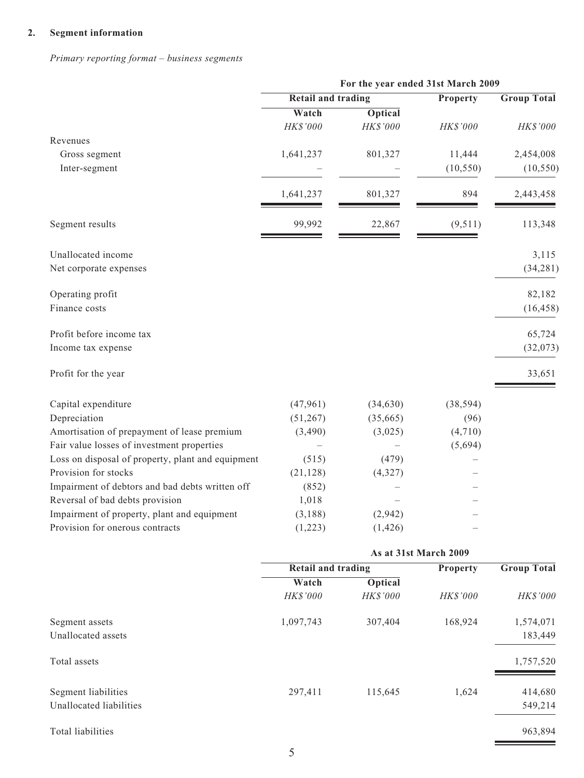### **2. Segment information**

*Primary reporting format – business segments*

|                                                   | For the year ended 31st March 2009 |                       |           |                    |
|---------------------------------------------------|------------------------------------|-----------------------|-----------|--------------------|
|                                                   | <b>Retail and trading</b>          |                       | Property  | <b>Group Total</b> |
|                                                   | Watch                              | <b>Optical</b>        |           |                    |
|                                                   | HK\$'000                           | HK\$'000              | HK\$'000  | HK\$'000           |
| Revenues                                          |                                    |                       |           |                    |
| Gross segment                                     | 1,641,237                          | 801,327               | 11,444    | 2,454,008          |
| Inter-segment                                     |                                    |                       | (10, 550) | (10, 550)          |
|                                                   |                                    |                       |           |                    |
|                                                   | 1,641,237                          | 801,327               | 894       | 2,443,458          |
| Segment results                                   | 99,992                             | 22,867                | (9,511)   | 113,348            |
| Unallocated income                                |                                    |                       |           | 3,115              |
| Net corporate expenses                            |                                    |                       |           | (34, 281)          |
| Operating profit                                  |                                    |                       |           | 82,182             |
| Finance costs                                     |                                    |                       |           | (16, 458)          |
| Profit before income tax                          |                                    |                       |           | 65,724             |
| Income tax expense                                |                                    |                       |           | (32,073)           |
| Profit for the year                               |                                    |                       |           | 33,651             |
| Capital expenditure                               | (47,961)                           | (34, 630)             | (38, 594) |                    |
| Depreciation                                      | (51, 267)                          | (35,665)              | (96)      |                    |
| Amortisation of prepayment of lease premium       | (3,490)                            | (3,025)               | (4,710)   |                    |
| Fair value losses of investment properties        |                                    |                       | (5,694)   |                    |
| Loss on disposal of property, plant and equipment | (515)                              | (479)                 |           |                    |
| Provision for stocks                              | (21, 128)                          | (4, 327)              |           |                    |
| Impairment of debtors and bad debts written off   | (852)                              |                       |           |                    |
| Reversal of bad debts provision                   | 1,018                              |                       |           |                    |
| Impairment of property, plant and equipment       | (3,188)                            | (2,942)               |           |                    |
| Provision for onerous contracts                   | (1,223)                            | (1, 426)              |           |                    |
|                                                   |                                    | As at 31st March 2009 |           |                    |
|                                                   | <b>Retail and trading</b>          |                       | Property  | <b>Group Total</b> |
|                                                   | Watch                              | <b>Optical</b>        |           |                    |
|                                                   | HK\$'000                           | HK\$'000              | HK\$'000  | HK\$'000           |
| Segment assets                                    | 1,097,743                          | 307,404               | 168,924   | 1,574,071          |
| Unallocated assets                                |                                    |                       |           | 183,449            |
| Total assets                                      |                                    |                       |           | 1,757,520          |
| Segment liabilities                               | 297,411                            | 115,645               | 1,624     | 414,680            |
| Unallocated liabilities                           |                                    |                       |           | 549,214            |
| Total liabilities                                 |                                    |                       |           | 963,894            |
|                                                   |                                    |                       |           |                    |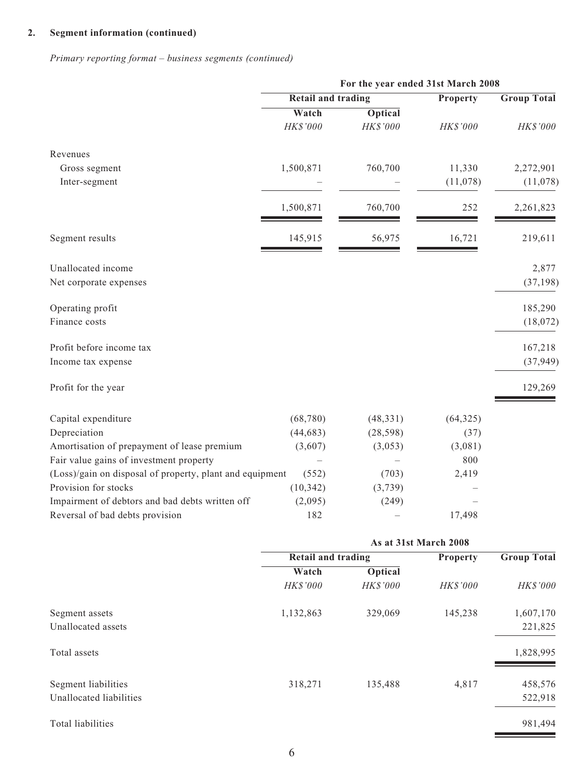### **2. Segment information (continued)**

*Primary reporting format – business segments (continued)*

|                                                          | For the year ended 31st March 2008 |                       |                 |                    |
|----------------------------------------------------------|------------------------------------|-----------------------|-----------------|--------------------|
|                                                          | <b>Retail and trading</b>          |                       | Property        | <b>Group Total</b> |
|                                                          | Watch                              | <b>Optical</b>        |                 |                    |
|                                                          | HK\$'000                           | HK\$'000              | HK\$'000        | HK\$'000           |
| Revenues                                                 |                                    |                       |                 |                    |
| Gross segment                                            | 1,500,871                          | 760,700               | 11,330          | 2,272,901          |
| Inter-segment                                            |                                    |                       | (11,078)        | (11,078)           |
|                                                          | 1,500,871                          | 760,700               | 252             | 2,261,823          |
| Segment results                                          | 145,915                            | 56,975                | 16,721          | 219,611            |
| Unallocated income                                       |                                    |                       |                 | 2,877              |
| Net corporate expenses                                   |                                    |                       |                 | (37, 198)          |
| Operating profit                                         |                                    |                       |                 | 185,290            |
| Finance costs                                            |                                    |                       |                 | (18,072)           |
| Profit before income tax                                 |                                    |                       |                 | 167,218            |
| Income tax expense                                       |                                    |                       |                 | (37, 949)          |
| Profit for the year                                      |                                    |                       |                 | 129,269            |
| Capital expenditure                                      | (68, 780)                          | (48, 331)             | (64, 325)       |                    |
| Depreciation                                             | (44, 683)                          | (28, 598)             | (37)            |                    |
| Amortisation of prepayment of lease premium              | (3,607)                            | (3,053)               | (3,081)         |                    |
| Fair value gains of investment property                  |                                    |                       | 800             |                    |
| (Loss)/gain on disposal of property, plant and equipment | (552)                              | (703)                 | 2,419           |                    |
| Provision for stocks                                     | (10, 342)                          | (3,739)               |                 |                    |
| Impairment of debtors and bad debts written off          | (2,095)                            | (249)                 |                 |                    |
| Reversal of bad debts provision                          | 182                                |                       | 17,498          |                    |
|                                                          |                                    | As at 31st March 2008 |                 |                    |
|                                                          | <b>Retail and trading</b>          |                       | <b>Property</b> | <b>Group Total</b> |
|                                                          | Watch                              | <b>Optical</b>        |                 |                    |
|                                                          | HK\$'000                           | HK\$'000              | HK\$'000        | HK\$'000           |
| Segment assets                                           | 1,132,863                          | 329,069               | 145,238         | 1,607,170          |
| Unallocated assets                                       |                                    |                       |                 | 221,825            |

Total assets and the set of the set of the set of the set of the set of the set of the set of the set of the set of the set of the set of the set of the set of the set of the set of the set of the set of the set of the set

| Segment liabilities     | 318,271 | 135,488 | 4.817 | 458,576 |
|-------------------------|---------|---------|-------|---------|
| Unallocated liabilities |         |         |       | 522,918 |

Total liabilities and the set of the set of the set of the set of the set of the set of the set of the set of the set of the set of the set of the set of the set of the set of the set of the set of the set of the set of th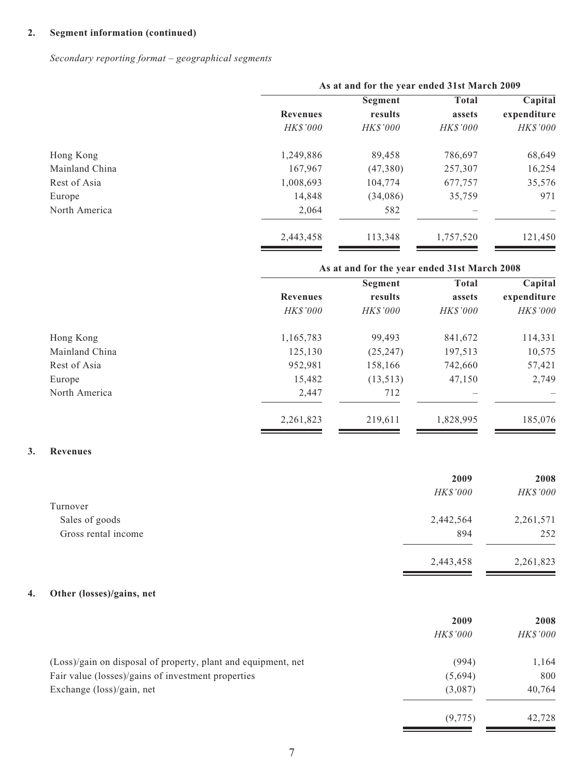#### **2. Segment information (continued)**

*Secondary reporting format – geographical segments*

|                |                 | As at and for the year ended 31st March 2009 |                 |             |  |
|----------------|-----------------|----------------------------------------------|-----------------|-------------|--|
|                |                 | Segment                                      | <b>Total</b>    | Capital     |  |
|                | <b>Revenues</b> | results                                      | assets          | expenditure |  |
|                | <b>HK\$'000</b> | <b>HK\$'000</b>                              | <b>HK\$'000</b> | HK\$'000    |  |
| Hong Kong      | 1,249,886       | 89,458                                       | 786,697         | 68,649      |  |
| Mainland China | 167,967         | (47,380)                                     | 257,307         | 16,254      |  |
| Rest of Asia   | 1,008,693       | 104,774                                      | 677,757         | 35,576      |  |
| Europe         | 14,848          | (34,086)                                     | 35,759          | 971         |  |
| North America  | 2.064           | 582                                          |                 |             |  |
|                | 2,443,458       | 113,348                                      | 1,757,520       | 121,450     |  |

# **As at and for the year ended 31st March 2008 Segment** Total Capital  **Revenues results assets expenditure**  *HK\$'000 HK\$'000 HK\$'000 HK\$'000* Hong Kong 1,165,783 99,493 841,672 114,331 Mainland China 125,130 (25,247) 197,513 10,575 Rest of Asia 612 and 2012 158,166 158,166 742,660 57,421 Europe 15,482 (13,513) 47,150 2,749 North America 2,447 2,447 – 712 2,261,823 219,611 1,828,995 185,076

#### **3. Revenues**

|                     | 2009            | 2008      |
|---------------------|-----------------|-----------|
|                     | <b>HK\$'000</b> | HK\$'000  |
| Turnover            |                 |           |
| Sales of goods      | 2,442,564       | 2,261,571 |
| Gross rental income | 894             | 252       |
|                     | 2,443,458       | 2,261,823 |

#### **4. Other (losses)/gains, net**

|                                                               | 2009            | 2008            |
|---------------------------------------------------------------|-----------------|-----------------|
|                                                               | <i>HK\$'000</i> | <b>HK\$'000</b> |
| (Loss)/gain on disposal of property, plant and equipment, net | (994)           | 1,164           |
| Fair value (losses)/gains of investment properties            | (5,694)         | 800             |
| Exchange (loss)/gain, net                                     | (3,087)         | 40,764          |
|                                                               | (9, 775)        | 42.728          |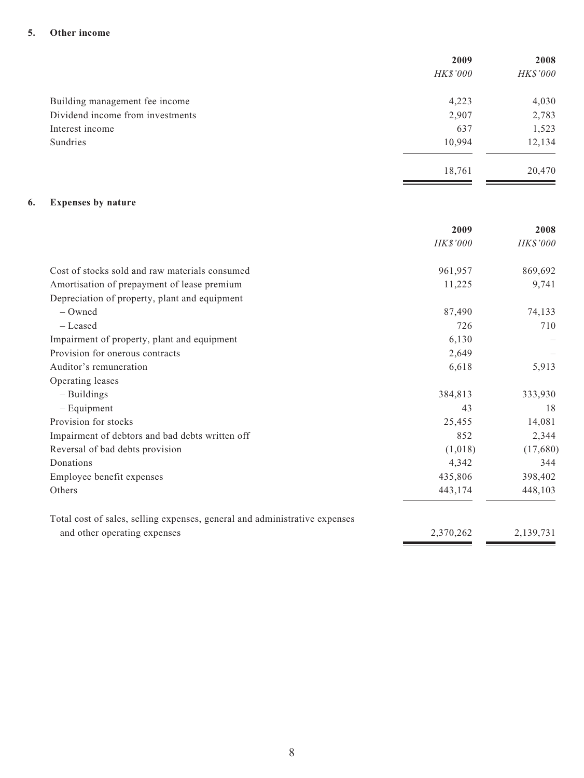#### **5. Other income**

| 2009            | 2008     |
|-----------------|----------|
| <b>HK\$'000</b> | HK\$'000 |
| 4,223           | 4,030    |
| 2,907           | 2,783    |
| 637             | 1,523    |
| 10,994          | 12,134   |
| 18,761          | 20,470   |
|                 |          |

### **6. Expenses by nature**

|                                                                            | 2009            | 2008            |
|----------------------------------------------------------------------------|-----------------|-----------------|
|                                                                            | <b>HK\$'000</b> | <b>HK\$'000</b> |
| Cost of stocks sold and raw materials consumed                             | 961,957         | 869,692         |
| Amortisation of prepayment of lease premium                                | 11,225          | 9,741           |
| Depreciation of property, plant and equipment                              |                 |                 |
| $-$ Owned                                                                  | 87,490          | 74,133          |
| - Leased                                                                   | 726             | 710             |
| Impairment of property, plant and equipment                                | 6,130           |                 |
| Provision for onerous contracts                                            | 2,649           |                 |
| Auditor's remuneration                                                     | 6,618           | 5,913           |
| Operating leases                                                           |                 |                 |
| $-$ Buildings                                                              | 384,813         | 333,930         |
| $-$ Equipment                                                              | 43              | 18              |
| Provision for stocks                                                       | 25,455          | 14,081          |
| Impairment of debtors and bad debts written off                            | 852             | 2,344           |
| Reversal of bad debts provision                                            | (1,018)         | (17,680)        |
| Donations                                                                  | 4,342           | 344             |
| Employee benefit expenses                                                  | 435,806         | 398,402         |
| Others                                                                     | 443,174         | 448,103         |
| Total cost of sales, selling expenses, general and administrative expenses |                 |                 |
| and other operating expenses                                               | 2,370,262       | 2,139,731       |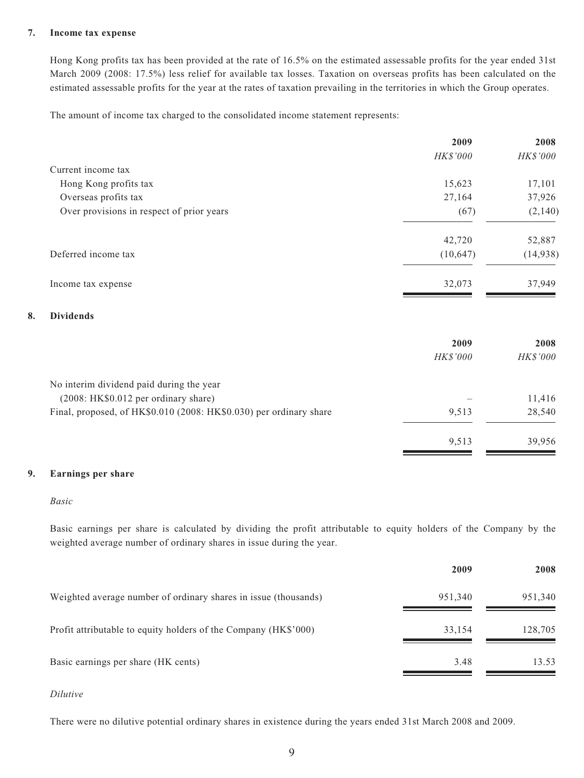#### **7. Income tax expense**

Hong Kong profits tax has been provided at the rate of 16.5% on the estimated assessable profits for the year ended 31st March 2009 (2008: 17.5%) less relief for available tax losses. Taxation on overseas profits has been calculated on the estimated assessable profits for the year at the rates of taxation prevailing in the territories in which the Group operates.

The amount of income tax charged to the consolidated income statement represents:

|                                           | 2009      | 2008     |
|-------------------------------------------|-----------|----------|
|                                           | HK\$'000  | HK\$'000 |
| Current income tax                        |           |          |
| Hong Kong profits tax                     | 15,623    | 17,101   |
| Overseas profits tax                      | 27,164    | 37,926   |
| Over provisions in respect of prior years | (67)      | (2,140)  |
|                                           | 42,720    | 52,887   |
| Deferred income tax                       | (10, 647) | (14,938) |
| Income tax expense                        | 32,073    | 37,949   |
| $\mathbf{D}$ $\mathbf{I}$ $\mathbf{I}$    |           |          |

#### **8. Dividends**

|                                                                    | 2009            | 2008            |
|--------------------------------------------------------------------|-----------------|-----------------|
|                                                                    | <i>HK\$'000</i> | <b>HK\$'000</b> |
| No interim dividend paid during the year                           |                 |                 |
| (2008: HK\$0.012 per ordinary share)                               |                 | 11,416          |
| Final, proposed, of HK\$0.010 (2008: HK\$0.030) per ordinary share | 9,513           | 28,540          |
|                                                                    | 9.513           | 39.956          |

#### **9. Earnings per share**

#### *Basic*

Basic earnings per share is calculated by dividing the profit attributable to equity holders of the Company by the weighted average number of ordinary shares in issue during the year.

|                                                                 | 2009    | 2008    |
|-----------------------------------------------------------------|---------|---------|
| Weighted average number of ordinary shares in issue (thousands) | 951,340 | 951,340 |
| Profit attributable to equity holders of the Company (HK\$'000) | 33,154  | 128,705 |
| Basic earnings per share (HK cents)                             | 3.48    | 13.53   |

#### *Dilutive*

There were no dilutive potential ordinary shares in existence during the years ended 31st March 2008 and 2009.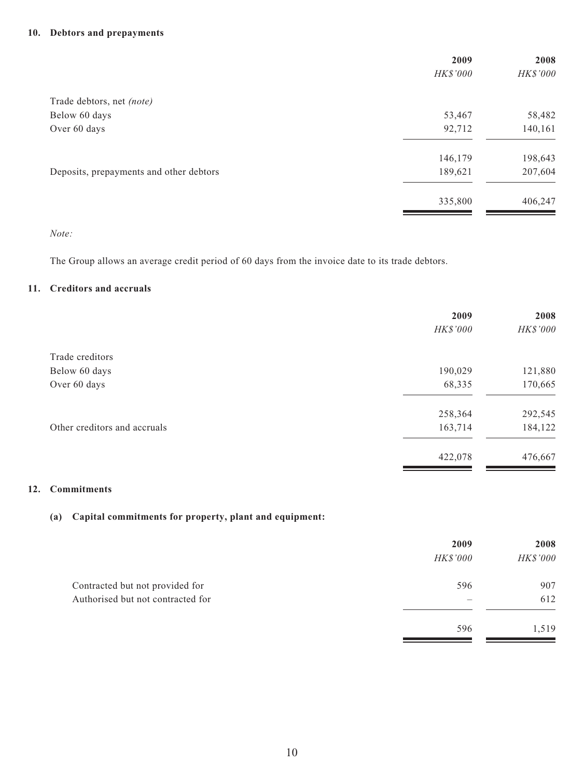### **10. Debtors and prepayments**

|                                         | 2009     | 2008     |
|-----------------------------------------|----------|----------|
|                                         | HK\$'000 | HK\$'000 |
| Trade debtors, net (note)               |          |          |
| Below 60 days                           | 53,467   | 58,482   |
| Over 60 days                            | 92,712   | 140,161  |
|                                         | 146,179  | 198,643  |
| Deposits, prepayments and other debtors | 189,621  | 207,604  |
|                                         | 335,800  | 406,247  |
|                                         |          |          |

#### *Note:*

The Group allows an average credit period of 60 days from the invoice date to its trade debtors.

### **11. Creditors and accruals**

|                              | 2009     | 2008     |
|------------------------------|----------|----------|
|                              | HK\$'000 | HK\$'000 |
| Trade creditors              |          |          |
| Below 60 days                | 190,029  | 121,880  |
| Over 60 days                 | 68,335   | 170,665  |
|                              | 258,364  | 292,545  |
| Other creditors and accruals | 163,714  | 184,122  |
|                              | 422,078  | 476,667  |

#### **12. Commitments**

### **(a) Capital commitments for property, plant and equipment:**

|                                   | 2009            | 2008     |
|-----------------------------------|-----------------|----------|
|                                   | <b>HK\$'000</b> | HK\$'000 |
| Contracted but not provided for   | 596             | 907      |
| Authorised but not contracted for |                 | 612      |
|                                   | 596             | 1,519    |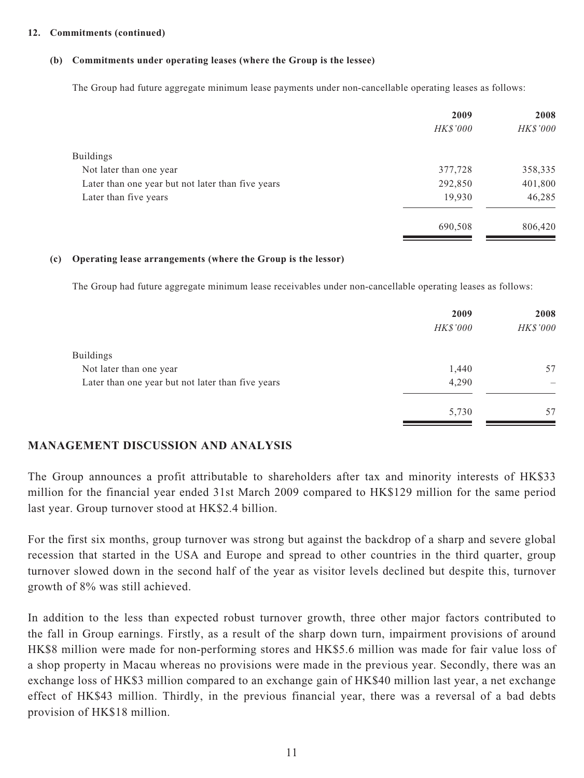#### **12. Commitments (continued)**

#### **(b) Commitments under operating leases (where the Group is the lessee)**

The Group had future aggregate minimum lease payments under non-cancellable operating leases as follows:

|                                                   | 2009            | 2008     |
|---------------------------------------------------|-----------------|----------|
|                                                   | <b>HK\$'000</b> | HK\$'000 |
| <b>Buildings</b>                                  |                 |          |
| Not later than one year                           | 377,728         | 358,335  |
| Later than one year but not later than five years | 292,850         | 401,800  |
| Later than five years                             | 19,930          | 46,285   |
|                                                   | 690,508         | 806,420  |

#### **(c) Operating lease arrangements (where the Group is the lessor)**

The Group had future aggregate minimum lease receivables under non-cancellable operating leases as follows:

|                                                   | 2009     | 2008     |
|---------------------------------------------------|----------|----------|
|                                                   | HK\$'000 | HK\$'000 |
| <b>Buildings</b>                                  |          |          |
| Not later than one year                           | 1,440    | 57       |
| Later than one year but not later than five years | 4,290    |          |
|                                                   | 5,730    | 57       |

### **MANAGEMENT DISCUSSION AND ANALYSIS**

The Group announces a profit attributable to shareholders after tax and minority interests of HK\$33 million for the financial year ended 31st March 2009 compared to HK\$129 million for the same period last year. Group turnover stood at HK\$2.4 billion.

For the first six months, group turnover was strong but against the backdrop of a sharp and severe global recession that started in the USA and Europe and spread to other countries in the third quarter, group turnover slowed down in the second half of the year as visitor levels declined but despite this, turnover growth of 8% was still achieved.

In addition to the less than expected robust turnover growth, three other major factors contributed to the fall in Group earnings. Firstly, as a result of the sharp down turn, impairment provisions of around HK\$8 million were made for non-performing stores and HK\$5.6 million was made for fair value loss of a shop property in Macau whereas no provisions were made in the previous year. Secondly, there was an exchange loss of HK\$3 million compared to an exchange gain of HK\$40 million last year, a net exchange effect of HK\$43 million. Thirdly, in the previous financial year, there was a reversal of a bad debts provision of HK\$18 million.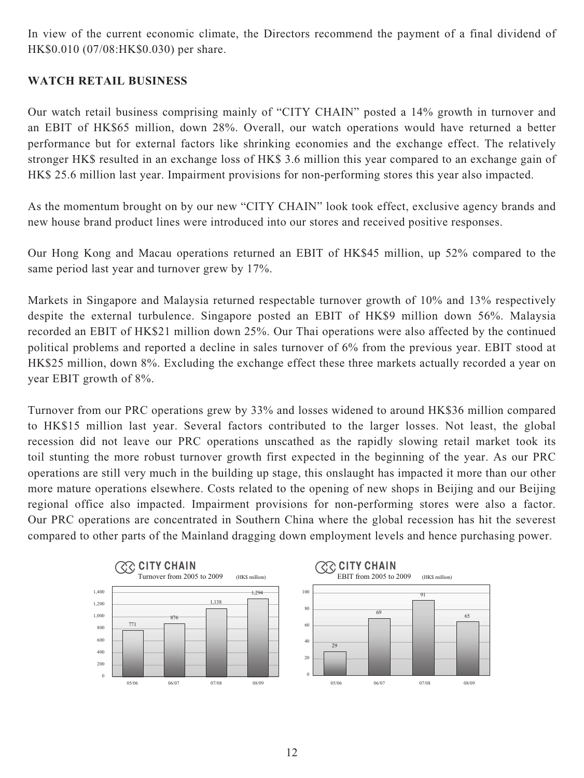In view of the current economic climate, the Directors recommend the payment of a final dividend of HK\$0.010 (07/08:HK\$0.030) per share.

# **WATCH RETAIL BUSINESS**

Our watch retail business comprising mainly of "CITY CHAIN" posted a 14% growth in turnover and an EBIT of HK\$65 million, down 28%. Overall, our watch operations would have returned a better performance but for external factors like shrinking economies and the exchange effect. The relatively stronger HK\$ resulted in an exchange loss of HK\$ 3.6 million this year compared to an exchange gain of HK\$ 25.6 million last year. Impairment provisions for non-performing stores this year also impacted.

As the momentum brought on by our new "CITY CHAIN" look took effect, exclusive agency brands and new house brand product lines were introduced into our stores and received positive responses.

Our Hong Kong and Macau operations returned an EBIT of HK\$45 million, up 52% compared to the same period last year and turnover grew by 17%.

Markets in Singapore and Malaysia returned respectable turnover growth of 10% and 13% respectively despite the external turbulence. Singapore posted an EBIT of HK\$9 million down 56%. Malaysia recorded an EBIT of HK\$21 million down 25%. Our Thai operations were also affected by the continued political problems and reported a decline in sales turnover of 6% from the previous year. EBIT stood at HK\$25 million, down 8%. Excluding the exchange effect these three markets actually recorded a year on year EBIT growth of 8%.

Turnover from our PRC operations grew by 33% and losses widened to around HK\$36 million compared to HK\$15 million last year. Several factors contributed to the larger losses. Not least, the global recession did not leave our PRC operations unscathed as the rapidly slowing retail market took its toil stunting the more robust turnover growth first expected in the beginning of the year. As our PRC operations are still very much in the building up stage, this onslaught has impacted it more than our other more mature operations elsewhere. Costs related to the opening of new shops in Beijing and our Beijing regional office also impacted. Impairment provisions for non-performing stores were also a factor. Our PRC operations are concentrated in Southern China where the global recession has hit the severest compared to other parts of the Mainland dragging down employment levels and hence purchasing power.

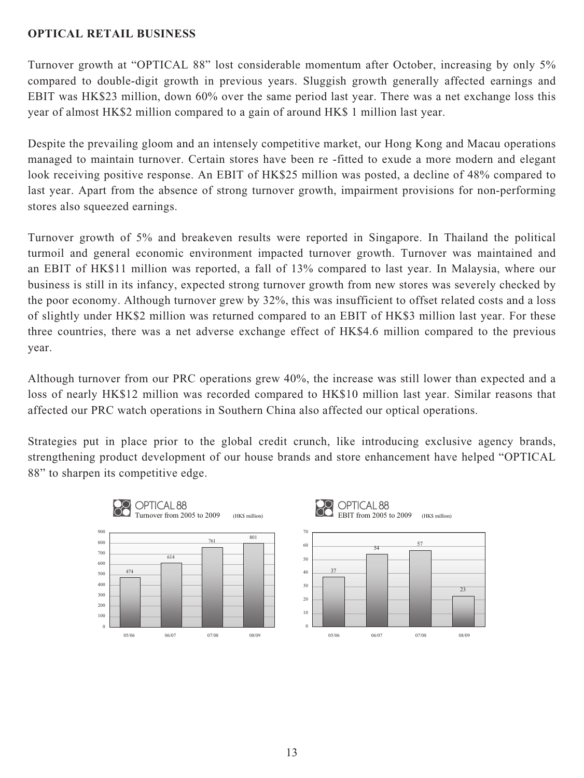# **OPTICAL RETAIL BUSINESS**

Turnover growth at "OPTICAL 88" lost considerable momentum after October, increasing by only 5% compared to double-digit growth in previous years. Sluggish growth generally affected earnings and EBIT was HK\$23 million, down 60% over the same period last year. There was a net exchange loss this year of almost HK\$2 million compared to a gain of around HK\$ 1 million last year.

Despite the prevailing gloom and an intensely competitive market, our Hong Kong and Macau operations managed to maintain turnover. Certain stores have been re -fitted to exude a more modern and elegant look receiving positive response. An EBIT of HK\$25 million was posted, a decline of 48% compared to last year. Apart from the absence of strong turnover growth, impairment provisions for non-performing stores also squeezed earnings.

Turnover growth of 5% and breakeven results were reported in Singapore. In Thailand the political turmoil and general economic environment impacted turnover growth. Turnover was maintained and an EBIT of HK\$11 million was reported, a fall of 13% compared to last year. In Malaysia, where our business is still in its infancy, expected strong turnover growth from new stores was severely checked by the poor economy. Although turnover grew by 32%, this was insufficient to offset related costs and a loss of slightly under HK\$2 million was returned compared to an EBIT of HK\$3 million last year. For these three countries, there was a net adverse exchange effect of HK\$4.6 million compared to the previous year.

Although turnover from our PRC operations grew 40%, the increase was still lower than expected and a loss of nearly HK\$12 million was recorded compared to HK\$10 million last year. Similar reasons that affected our PRC watch operations in Southern China also affected our optical operations.

Strategies put in place prior to the global credit crunch, like introducing exclusive agency brands, strengthening product development of our house brands and store enhancement have helped "OPTICAL 88" to sharpen its competitive edge.

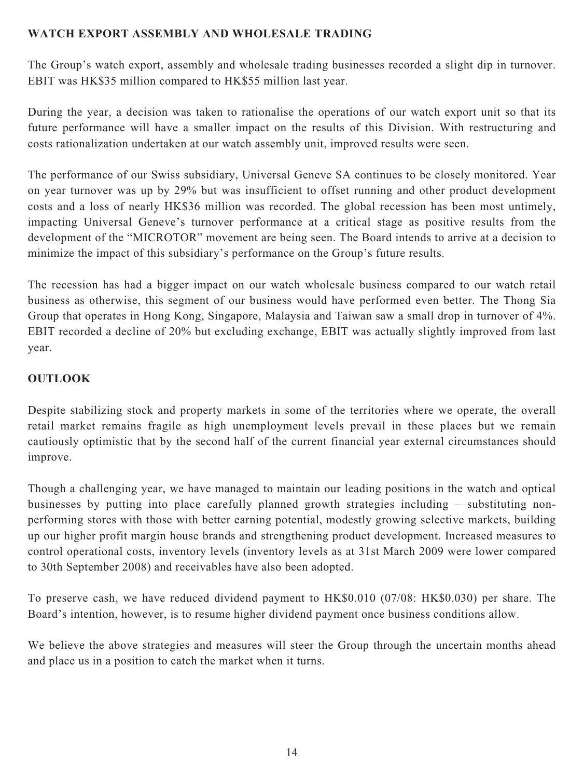# **WATCH EXPORT ASSEMBLY AND WHOLESALE TRADING**

The Group's watch export, assembly and wholesale trading businesses recorded a slight dip in turnover. EBIT was HK\$35 million compared to HK\$55 million last year.

During the year, a decision was taken to rationalise the operations of our watch export unit so that its future performance will have a smaller impact on the results of this Division. With restructuring and costs rationalization undertaken at our watch assembly unit, improved results were seen.

The performance of our Swiss subsidiary, Universal Geneve SA continues to be closely monitored. Year on year turnover was up by 29% but was insufficient to offset running and other product development costs and a loss of nearly HK\$36 million was recorded. The global recession has been most untimely, impacting Universal Geneve's turnover performance at a critical stage as positive results from the development of the "MICROTOR" movement are being seen. The Board intends to arrive at a decision to minimize the impact of this subsidiary's performance on the Group's future results.

The recession has had a bigger impact on our watch wholesale business compared to our watch retail business as otherwise, this segment of our business would have performed even better. The Thong Sia Group that operates in Hong Kong, Singapore, Malaysia and Taiwan saw a small drop in turnover of 4%. EBIT recorded a decline of 20% but excluding exchange, EBIT was actually slightly improved from last year.

# **OUTLOOK**

Despite stabilizing stock and property markets in some of the territories where we operate, the overall retail market remains fragile as high unemployment levels prevail in these places but we remain cautiously optimistic that by the second half of the current financial year external circumstances should improve.

Though a challenging year, we have managed to maintain our leading positions in the watch and optical businesses by putting into place carefully planned growth strategies including – substituting nonperforming stores with those with better earning potential, modestly growing selective markets, building up our higher profit margin house brands and strengthening product development. Increased measures to control operational costs, inventory levels (inventory levels as at 31st March 2009 were lower compared to 30th September 2008) and receivables have also been adopted.

To preserve cash, we have reduced dividend payment to HK\$0.010 (07/08: HK\$0.030) per share. The Board's intention, however, is to resume higher dividend payment once business conditions allow.

We believe the above strategies and measures will steer the Group through the uncertain months ahead and place us in a position to catch the market when it turns.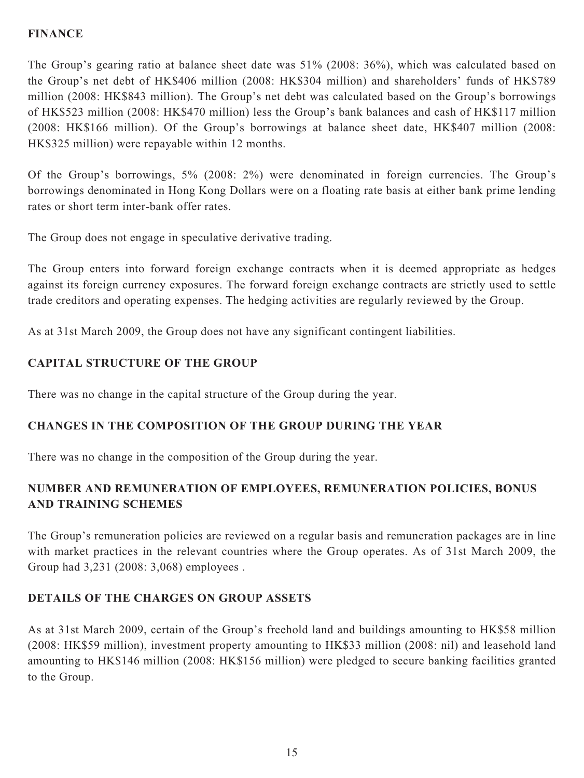# **FINANCE**

The Group's gearing ratio at balance sheet date was 51% (2008: 36%), which was calculated based on the Group's net debt of HK\$406 million (2008: HK\$304 million) and shareholders' funds of HK\$789 million (2008: HK\$843 million). The Group's net debt was calculated based on the Group's borrowings of HK\$523 million (2008: HK\$470 million) less the Group's bank balances and cash of HK\$117 million (2008: HK\$166 million). Of the Group's borrowings at balance sheet date, HK\$407 million (2008: HK\$325 million) were repayable within 12 months.

Of the Group's borrowings, 5% (2008: 2%) were denominated in foreign currencies. The Group's borrowings denominated in Hong Kong Dollars were on a floating rate basis at either bank prime lending rates or short term inter-bank offer rates.

The Group does not engage in speculative derivative trading.

The Group enters into forward foreign exchange contracts when it is deemed appropriate as hedges against its foreign currency exposures. The forward foreign exchange contracts are strictly used to settle trade creditors and operating expenses. The hedging activities are regularly reviewed by the Group.

As at 31st March 2009, the Group does not have any significant contingent liabilities.

# **CAPITAL STRUCTURE OF THE GROUP**

There was no change in the capital structure of the Group during the year.

# **CHANGES IN THE COMPOSITION OF THE GROUP DURING THE YEAR**

There was no change in the composition of the Group during the year.

# **NUMBER AND REMUNERATION OF EMPLOYEES, REMUNERATION POLICIES, BONUS AND TRAINING SCHEMES**

The Group's remuneration policies are reviewed on a regular basis and remuneration packages are in line with market practices in the relevant countries where the Group operates. As of 31st March 2009, the Group had 3,231 (2008: 3,068) employees .

# **DETAILS OF THE CHARGES ON GROUP ASSETS**

As at 31st March 2009, certain of the Group's freehold land and buildings amounting to HK\$58 million (2008: HK\$59 million), investment property amounting to HK\$33 million (2008: nil) and leasehold land amounting to HK\$146 million (2008: HK\$156 million) were pledged to secure banking facilities granted to the Group.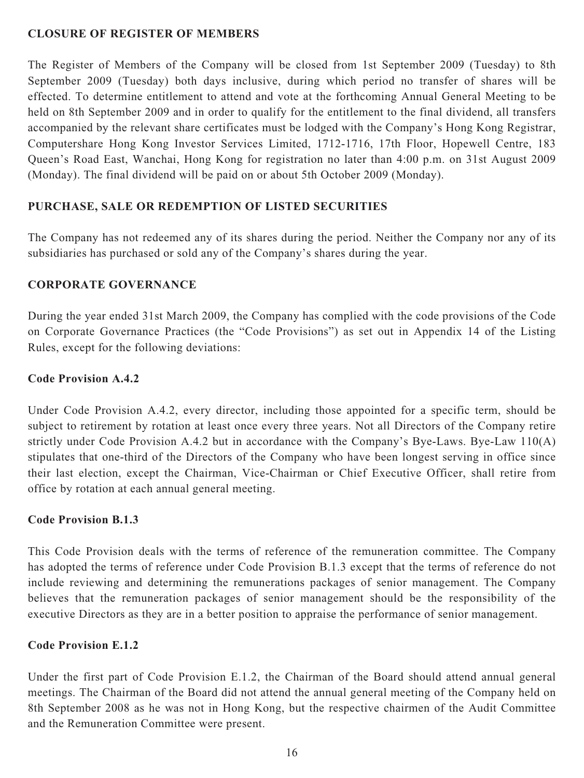# **CLOSURE OF REGISTER OF MEMBERS**

The Register of Members of the Company will be closed from 1st September 2009 (Tuesday) to 8th September 2009 (Tuesday) both days inclusive, during which period no transfer of shares will be effected. To determine entitlement to attend and vote at the forthcoming Annual General Meeting to be held on 8th September 2009 and in order to qualify for the entitlement to the final dividend, all transfers accompanied by the relevant share certificates must be lodged with the Company's Hong Kong Registrar, Computershare Hong Kong Investor Services Limited, 1712-1716, 17th Floor, Hopewell Centre, 183 Queen's Road East, Wanchai, Hong Kong for registration no later than 4:00 p.m. on 31st August 2009 (Monday). The final dividend will be paid on or about 5th October 2009 (Monday).

# **PURCHASE, SALE OR REDEMPTION OF LISTED SECURITIES**

The Company has not redeemed any of its shares during the period. Neither the Company nor any of its subsidiaries has purchased or sold any of the Company's shares during the year.

# **CORPORATE GOVERNANCE**

During the year ended 31st March 2009, the Company has complied with the code provisions of the Code on Corporate Governance Practices (the "Code Provisions") as set out in Appendix 14 of the Listing Rules, except for the following deviations:

## **Code Provision A.4.2**

Under Code Provision A.4.2, every director, including those appointed for a specific term, should be subject to retirement by rotation at least once every three years. Not all Directors of the Company retire strictly under Code Provision A.4.2 but in accordance with the Company's Bye-Laws. Bye-Law 110(A) stipulates that one-third of the Directors of the Company who have been longest serving in office since their last election, except the Chairman, Vice-Chairman or Chief Executive Officer, shall retire from office by rotation at each annual general meeting.

# **Code Provision B.1.3**

This Code Provision deals with the terms of reference of the remuneration committee. The Company has adopted the terms of reference under Code Provision B.1.3 except that the terms of reference do not include reviewing and determining the remunerations packages of senior management. The Company believes that the remuneration packages of senior management should be the responsibility of the executive Directors as they are in a better position to appraise the performance of senior management.

# **Code Provision E.1.2**

Under the first part of Code Provision E.1.2, the Chairman of the Board should attend annual general meetings. The Chairman of the Board did not attend the annual general meeting of the Company held on 8th September 2008 as he was not in Hong Kong, but the respective chairmen of the Audit Committee and the Remuneration Committee were present.